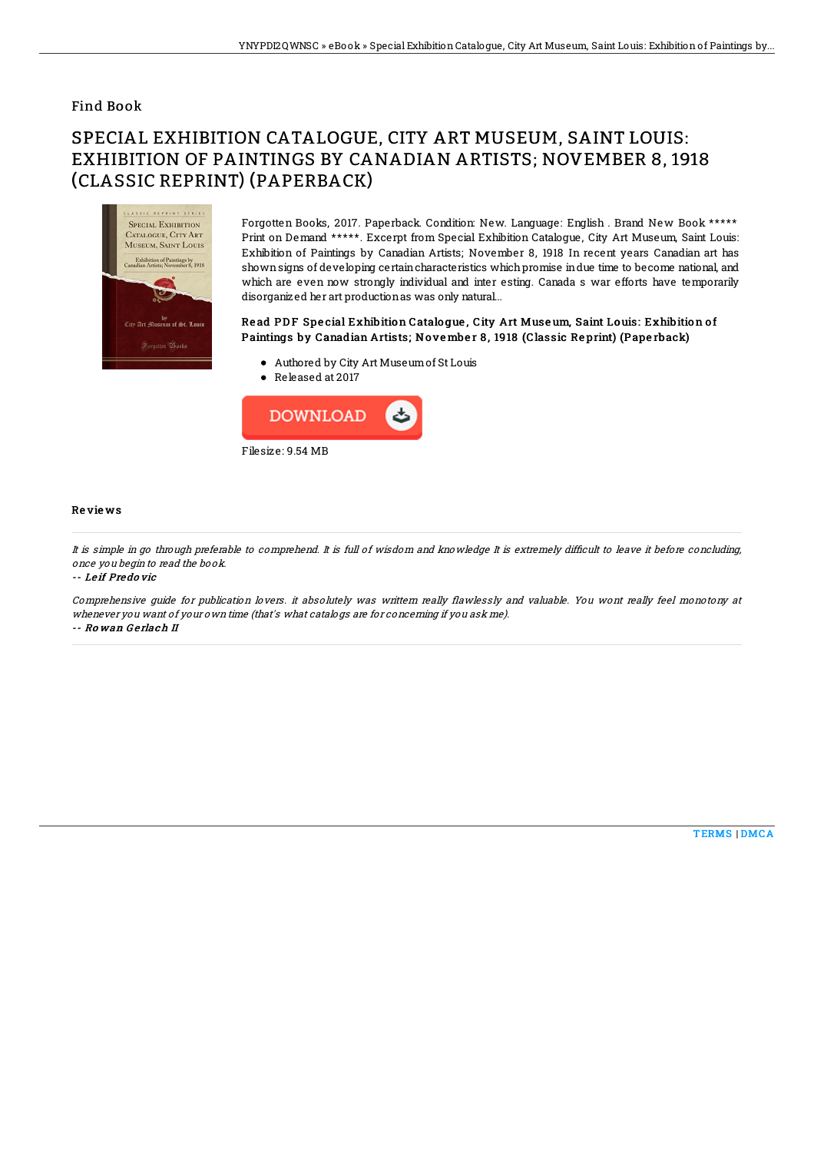## Find Book

# SPECIAL EXHIBITION CATALOGUE, CITY ART MUSEUM, SAINT LOUIS: EXHIBITION OF PAINTINGS BY CANADIAN ARTISTS; NOVEMBER 8, 1918 (CLASSIC REPRINT) (PAPERBACK)



Forgotten Books, 2017. Paperback. Condition: New. Language: English . Brand New Book \*\*\*\*\* Print on Demand \*\*\*\*\*. Excerpt from Special Exhibition Catalogue, City Art Museum, Saint Louis: Exhibition of Paintings by Canadian Artists; November 8, 1918 In recent years Canadian art has shownsigns of developing certaincharacteristics whichpromise indue time to become national, and which are even now strongly individual and inter esting. Canada s war efforts have temporarily disorganized her art productionas was only natural...

### Read PDF Special Exhibition Catalogue, City Art Museum, Saint Louis: Exhibition of Paintings by Canadian Artists; No ve mbe r 8 , 1918 (Classic Re print) (Pape rback)

- Authored by City Art Museumof St Louis
- Released at 2017



#### Re vie ws

It is simple in go through preferable to comprehend. It is full of wisdom and knowledge It is extremely difficult to leave it before concluding, once you begin to read the book.

-- Le if Predo vic

Comprehensive guide for publication lovers. it absolutely was writtern really flawlessly and valuable. You wont really feel monotony at whenever you want of your own time (that's what catalogs are for concerning if you ask me). -- Ro wan G e rlach II